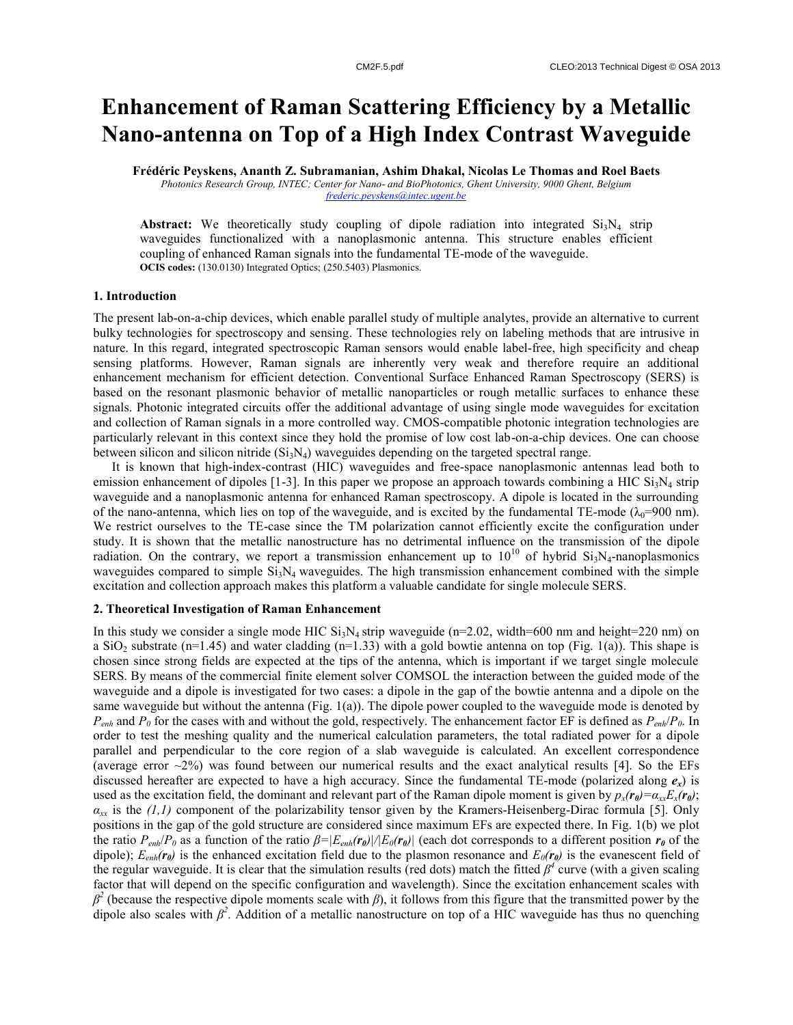# **Enhancement of Raman Scattering Efficiency by a Metallic Nano-antenna on Top of a High Index Contrast Waveguide**

**Frédéric Peyskens, Ananth Z. Subramanian, Ashim Dhakal, Nicolas Le Thomas and Roel Baets**

*Photonics Research Group, INTEC; Center for Nano- and BioPhotonics, Ghent University, 9000 Ghent, Belgium frederic.peyskens@intec.ugent.be*

**Abstract:** We theoretically study coupling of dipole radiation into integrated  $Si<sub>3</sub>N<sub>4</sub>$  strip waveguides functionalized with a nanoplasmonic antenna. This structure enables efficient coupling of enhanced Raman signals into the fundamental TE-mode of the waveguide. **OCIS codes:** (130.0130) Integrated Optics; (250.5403) Plasmonics.

### **1. Introduction**

The present lab-on-a-chip devices, which enable parallel study of multiple analytes, provide an alternative to current bulky technologies for spectroscopy and sensing. These technologies rely on labeling methods that are intrusive in nature. In this regard, integrated spectroscopic Raman sensors would enable label-free, high specificity and cheap sensing platforms. However, Raman signals are inherently very weak and therefore require an additional enhancement mechanism for efficient detection. Conventional Surface Enhanced Raman Spectroscopy (SERS) is based on the resonant plasmonic behavior of metallic nanoparticles or rough metallic surfaces to enhance these signals. Photonic integrated circuits offer the additional advantage of using single mode waveguides for excitation and collection of Raman signals in a more controlled way. CMOS-compatible photonic integration technologies are particularly relevant in this context since they hold the promise of low cost lab-on-a-chip devices. One can choose between silicon and silicon nitride  $(Si_3N_4)$  waveguides depending on the targeted spectral range.

It is known that high-index-contrast (HIC) waveguides and free-space nanoplasmonic antennas lead both to emission enhancement of dipoles [1-3]. In this paper we propose an approach towards combining a HIC  $Si<sub>3</sub>N<sub>4</sub>$  strip waveguide and a nanoplasmonic antenna for enhanced Raman spectroscopy. A dipole is located in the surrounding of the nano-antenna, which lies on top of the waveguide, and is excited by the fundamental TE-mode ( $\lambda_0$ =900 nm). We restrict ourselves to the TE-case since the TM polarization cannot efficiently excite the configuration under study. It is shown that the metallic nanostructure has no detrimental influence on the transmission of the dipole radiation. On the contrary, we report a transmission enhancement up to  $10^{10}$  of hybrid  $Si_3N_4$ -nanoplasmonics waveguides compared to simple  $Si<sub>3</sub>N<sub>4</sub>$  waveguides. The high transmission enhancement combined with the simple excitation and collection approach makes this platform a valuable candidate for single molecule SERS.

# **2. Theoretical Investigation of Raman Enhancement**

In this study we consider a single mode HIC  $Si<sub>3</sub>N<sub>4</sub>$  strip waveguide (n=2.02, width=600 nm and height=220 nm) on a SiO<sub>2</sub> substrate (n=1.45) and water cladding (n=1.33) with a gold bowtie antenna on top (Fig. 1(a)). This shape is chosen since strong fields are expected at the tips of the antenna, which is important if we target single molecule SERS. By means of the commercial finite element solver COMSOL the interaction between the guided mode of the waveguide and a dipole is investigated for two cases: a dipole in the gap of the bowtie antenna and a dipole on the same waveguide but without the antenna (Fig. 1(a)). The dipole power coupled to the waveguide mode is denoted by *Penh* and *P<sup>0</sup>* for the cases with and without the gold, respectively. The enhancement factor EF is defined as *Penh*/*P0*. In order to test the meshing quality and the numerical calculation parameters, the total radiated power for a dipole parallel and perpendicular to the core region of a slab waveguide is calculated. An excellent correspondence (average error  $\sim$ 2%) was found between our numerical results and the exact analytical results [4]. So the EFs discussed hereafter are expected to have a high accuracy. Since the fundamental TE-mode (polarized along  $e_x$ ) is used as the excitation field, the dominant and relevant part of the Raman dipole moment is given by  $p_x(r_0) = a_{xx}E_x(r_0)$ ; *αxx* is the *(1,1)* component of the polarizability tensor given by the Kramers-Heisenberg-Dirac formula [5]. Only positions in the gap of the gold structure are considered since maximum EFs are expected there. In Fig. 1(b) we plot the ratio  $P_{enh}/P_0$  as a function of the ratio  $\beta = |E_{enh}(\mathbf{r}_0)|/|E_0(\mathbf{r}_0)|$  (each dot corresponds to a different position  $\mathbf{r}_0$  of the dipole);  $E_{enh}(r_{\theta})$  is the enhanced excitation field due to the plasmon resonance and  $E_0(r_{\theta})$  is the evanescent field of the regular waveguide. It is clear that the simulation results (red dots) match the fitted  $\beta^4$  curve (with a given scaling factor that will depend on the specific configuration and wavelength). Since the excitation enhancement scales with  $β<sup>2</sup>$  (because the respective dipole moments scale with *β*), it follows from this figure that the transmitted power by the dipole also scales with  $\beta^2$ . Addition of a metallic nanostructure on top of a HIC waveguide has thus no quenching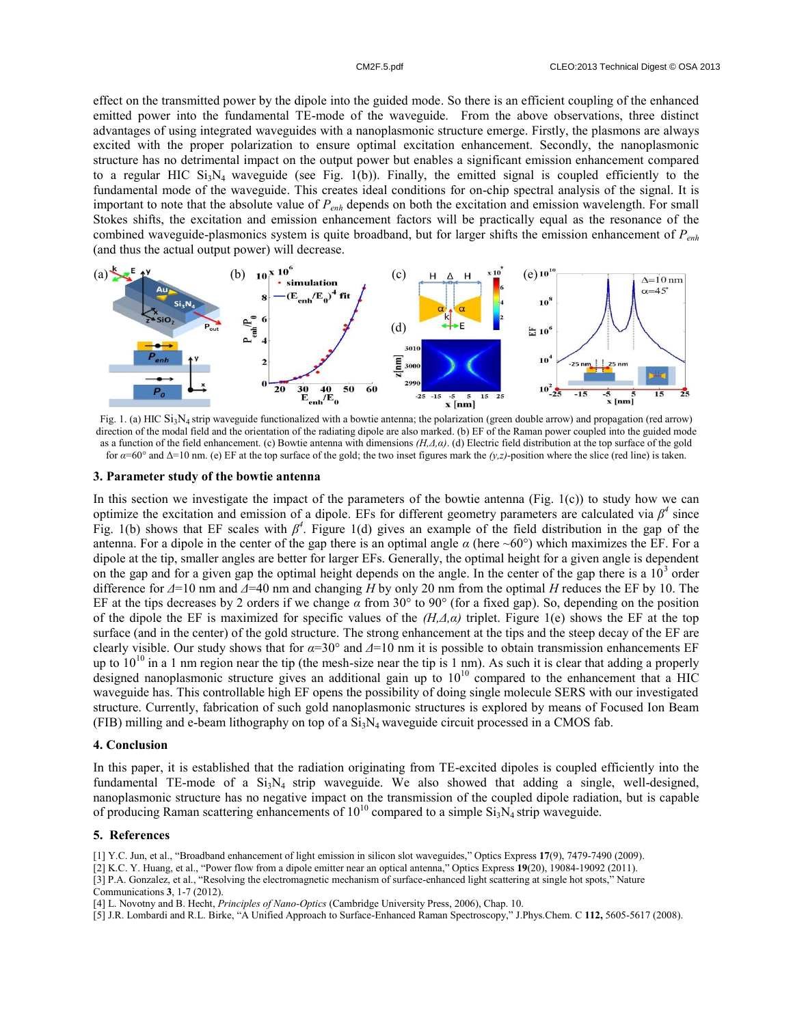effect on the transmitted power by the dipole into the guided mode. So there is an efficient coupling of the enhanced emitted power into the fundamental TE-mode of the waveguide. From the above observations, three distinct advantages of using integrated waveguides with a nanoplasmonic structure emerge. Firstly, the plasmons are always excited with the proper polarization to ensure optimal excitation enhancement. Secondly, the nanoplasmonic structure has no detrimental impact on the output power but enables a significant emission enhancement compared to a regular HIC  $Si<sub>3</sub>N<sub>4</sub>$  waveguide (see Fig. 1(b)). Finally, the emitted signal is coupled efficiently to the fundamental mode of the waveguide. This creates ideal conditions for on-chip spectral analysis of the signal. It is important to note that the absolute value of *Penh* depends on both the excitation and emission wavelength. For small Stokes shifts, the excitation and emission enhancement factors will be practically equal as the resonance of the combined waveguide-plasmonics system is quite broadband, but for larger shifts the emission enhancement of *Penh* (and thus the actual output power) will decrease.



direction of the modal field and the orientation of the radiating dipole are also marked. (b) EF of the Raman power coupled into the guided mode as a function of the field enhancement. (c) Bowtie antenna with dimensions *(H,Δ,α)*. (d) Electric field distribution at the top surface of the gold for *α*=60° and Δ=10 nm. (e) EF at the top surface of the gold; the two inset figures mark the *(y,z)*-position where the slice (red line) is taken.

### **3. Parameter study of the bowtie antenna**

In this section we investigate the impact of the parameters of the bowtie antenna (Fig.  $1(c)$ ) to study how we can optimize the excitation and emission of a dipole. EFs for different geometry parameters are calculated via  $\beta^4$  since Fig. 1(b) shows that EF scales with  $\beta^4$ . Figure 1(d) gives an example of the field distribution in the gap of the antenna. For a dipole in the center of the gap there is an optimal angle  $\alpha$  (here ~60°) which maximizes the EF. For a dipole at the tip, smaller angles are better for larger EFs. Generally, the optimal height for a given angle is dependent on the gap and for a given gap the optimal height depends on the angle. In the center of the gap there is a  $10<sup>3</sup>$  order difference for *Δ*=10 nm and *Δ*=40 nm and changing *H* by only 20 nm from the optimal *H* reduces the EF by 10. The EF at the tips decreases by 2 orders if we change *α* from 30° to 90° (for a fixed gap). So, depending on the position of the dipole the EF is maximized for specific values of the *(H,Δ,α)* triplet. Figure 1(e) shows the EF at the top surface (and in the center) of the gold structure. The strong enhancement at the tips and the steep decay of the EF are clearly visible. Our study shows that for *α*=30° and *Δ*=10 nm it is possible to obtain transmission enhancements EF up to  $10^{10}$  in a 1 nm region near the tip (the mesh-size near the tip is 1 nm). As such it is clear that adding a properly designed nanoplasmonic structure gives an additional gain up to  $10^{10}$  compared to the enhancement that a HIC waveguide has. This controllable high EF opens the possibility of doing single molecule SERS with our investigated structure. Currently, fabrication of such gold nanoplasmonic structures is explored by means of Focused Ion Beam (FIB) milling and e-beam lithography on top of a  $Si<sub>3</sub>N<sub>4</sub>$  waveguide circuit processed in a CMOS fab.

## **4. Conclusion**

In this paper, it is established that the radiation originating from TE-excited dipoles is coupled efficiently into the fundamental TE-mode of a  $Si_3N_4$  strip waveguide. We also showed that adding a single, well-designed, nanoplasmonic structure has no negative impact on the transmission of the coupled dipole radiation, but is capable of producing Raman scattering enhancements of  $10^{10}$  compared to a simple  $Si<sub>3</sub>N<sub>4</sub>$  strip waveguide.

### **5. References**

[1] Y.C. Jun, et al., "Broadband enhancement of light emission in silicon slot waveguides," Optics Express **17**(9), 7479-7490 (2009).

[2] K.C. Y. Huang, et al., "Power flow from a dipole emitter near an optical antenna," Optics Express **19**(20), 19084-19092 (2011).

[3] P.A. Gonzalez, et al., "Resolving the electromagnetic mechanism of surface-enhanced light scattering at single hot spots," Nature Communications **3**, 1-7 (2012).

[4] L. Novotny and B. Hecht, *Principles of Nano-Optics* (Cambridge University Press, 2006), Chap. 10.

[5] J.R. Lombardi and R.L. Birke, "A Unified Approach to Surface-Enhanced Raman Spectroscopy," J.Phys.Chem. C **112,** 5605-5617 (2008).